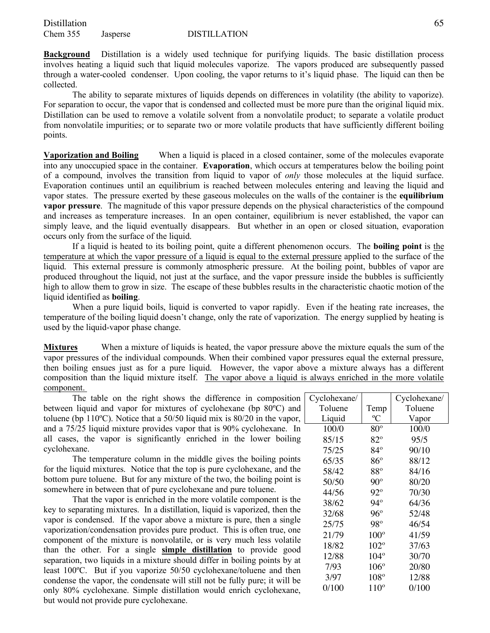**Background** Distillation is a widely used technique for purifying liquids. The basic distillation process involves heating a liquid such that liquid molecules vaporize. The vapors produced are subsequently passed through a water-cooled condenser. Upon cooling, the vapor returns to it's liquid phase. The liquid can then be collected.

The ability to separate mixtures of liquids depends on differences in volatility (the ability to vaporize). For separation to occur, the vapor that is condensed and collected must be more pure than the original liquid mix. Distillation can be used to remove a volatile solvent from a nonvolatile product; to separate a volatile product from nonvolatile impurities; or to separate two or more volatile products that have sufficiently different boiling points.

**Vaporization and Boiling** When a liquid is placed in a closed container, some of the molecules evaporate into any unoccupied space in the container. **Evaporation**, which occurs at temperatures below the boiling point of a compound, involves the transition from liquid to vapor of *only* those molecules at the liquid surface. Evaporation continues until an equilibrium is reached between molecules entering and leaving the liquid and vapor states. The pressure exerted by these gaseous molecules on the walls of the container is the **equilibrium vapor pressure**. The magnitude of this vapor pressure depends on the physical characteristics of the compound and increases as temperature increases. In an open container, equilibrium is never established, the vapor can simply leave, and the liquid eventually disappears. But whether in an open or closed situation, evaporation occurs only from the surface of the liquid.

If a liquid is heated to its boiling point, quite a different phenomenon occurs. The **boiling point** is the temperature at which the vapor pressure of a liquid is equal to the external pressure applied to the surface of the liquid. This external pressure is commonly atmospheric pressure. At the boiling point, bubbles of vapor are produced throughout the liquid, not just at the surface, and the vapor pressure inside the bubbles is sufficiently high to allow them to grow in size. The escape of these bubbles results in the characteristic chaotic motion of the liquid identified as **boiling**.

When a pure liquid boils, liquid is converted to vapor rapidly. Even if the heating rate increases, the temperature of the boiling liquid doesn't change, only the rate of vaporization. The energy supplied by heating is used by the liquid-vapor phase change.

**Mixtures** When a mixture of liquids is heated, the vapor pressure above the mixture equals the sum of the vapor pressures of the individual compounds. When their combined vapor pressures equal the external pressure, then boiling ensues just as for a pure liquid. However, the vapor above a mixture always has a different composition than the liquid mixture itself. The vapor above a liquid is always enriched in the more volatile component.

The table on the right shows the difference in composition C between liquid and vapor for mixtures of cyclohexane (bp 80ºC) and toluene (bp 110ºC). Notice that a 50/50 liquid mix is 80/20 in the vapor, and a 75/25 liquid mixture provides vapor that is 90% cyclohexane. In all cases, the vapor is significantly enriched in the lower boiling cyclohexane.

The temperature column in the middle gives the boiling points for the liquid mixtures. Notice that the top is pure cyclohexane, and the bottom pure toluene. But for any mixture of the two, the boiling point is somewhere in between that of pure cyclohexane and pure toluene.

That the vapor is enriched in the more volatile component is the key to separating mixtures. In a distillation, liquid is vaporized, then the vapor is condensed. If the vapor above a mixture is pure, then a single vaporization/condensation provides pure product. This is often true, one component of the mixture is nonvolatile, or is very much less volatile than the other. For a single **simple distillation** to provide good separation, two liquids in a mixture should differ in boiling points by at least 100ºC. But if you vaporize 50/50 cyclohexane/toluene and then condense the vapor, the condensate will still not be fully pure; it will be only 80% cyclohexane. Simple distillation would enrich cyclohexane, but would not provide pure cyclohexane.

| Cyclohexane/ |               | Cyclohexane/ |
|--------------|---------------|--------------|
| Toluene      | Temp          | Toluene      |
| Liquid       | °C            | Vapor        |
| 100/0        | $80^{\circ}$  | 100/0        |
| 85/15        | $82^{\circ}$  | 95/5         |
| 75/25        | 84°           | 90/10        |
| 65/35        | $86^{\circ}$  | 88/12        |
| 58/42        | $88^{\circ}$  | 84/16        |
| 50/50        | $90^{\circ}$  | 80/20        |
| 44/56        | 92°           | 70/30        |
| 38/62        | $94^\circ$    | 64/36        |
| 32/68        | 96°           | 52/48        |
| 25/75        | 98°           | 46/54        |
| 21/79        | $100^\circ$   | 41/59        |
| 18/82        | $102^{\circ}$ | 37/63        |
| 12/88        | $104^\circ$   | 30/70        |
| 7/93         | $106^{\circ}$ | 20/80        |
| 3/97         | $108^\circ$   | 12/88        |
| 0/100        | $110^{\circ}$ | 0/100        |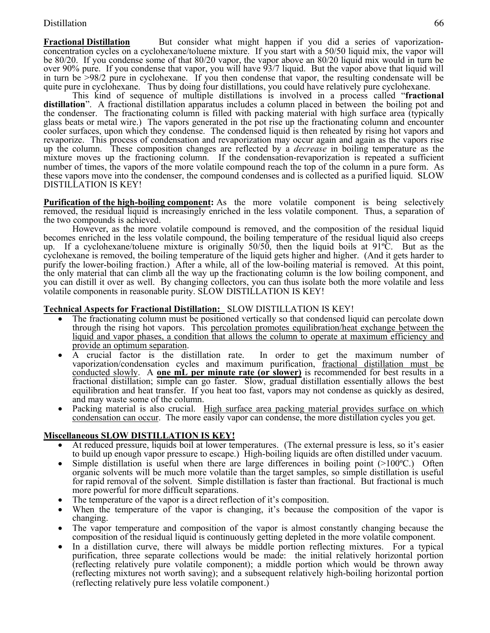### Distillation 66

**Fractional Distillation** But consider what might happen if you did a series of vaporization-<br>concentration cycles on a cyclohexane/toluene mixture. If you start with a 50/50 liquid mix, the vapor will be 80/20. If you condense some of that 80/20 vapor, the vapor above an 80/20 liquid mix would in turn be over 90% pure. If you condense that vapor, you will have 93/7 liquid. But the vapor above that liquid will in turn be >98/2 pure in cyclohexane. If you then condense that vapor, the resulting condensate will be quite pure in cyclohexane. Thus by doing four distillations, you could have relatively pure cyclohexane.

This kind of sequence of multiple distillations is involved in a process called "**fractional distillation**". A fractional distillation apparatus includes a column placed in between the boiling pot and the condenser. The fractionating column is filled with packing material with high surface area (typically glass beats or metal wire.) The vapors generated in the pot rise up the fractionating column and encounter cooler surfaces, upon which they condense. The condensed liquid is then reheated by rising hot vapors and revaporize. This process of condensation and revaporization may occur again and again as the vapors rise up the column. These composition changes are reflected by a *decrease* in boiling temperature as the mixture moves up the fractioning column. If the condensation-revaporization is repeated a sufficient number of times, the vapors of the more volatile compound reach the top of the column in a pure form. As these vapors move into the condenser, the compound condenses and is collected as a purified liquid. SLOW DISTILLATION IS KEY!

**Purification of the high-boiling component:** As the more volatile component is being selectively removed, the residual liquid is increasingly enriched in the less volatile component. Thus, a separation of the two compounds is achieved.

However, as the more volatile compound is removed, and the composition of the residual liquid becomes enriched in the less volatile compound, the boiling temperature of the residual liquid also creeps up. If a cyclohexane/toluene mixture is originally 50/50, then the liquid boils at 91ºC. But as the cyclohexane is removed, the boiling temperature of the liquid gets higher and higher. (And it gets harder to purify the lower-boiling fraction.) After a while, all of the low-boiling material is removed. At this point, the only material that can climb all the way up the fractionating column is the low boiling component, and you can distill it over as well. By changing collectors, you can thus isolate both the more volatile and less volatile components in reasonable purity. SLOW DISTILLATION IS KEY!

### **Technical Aspects for Fractional Distillation:** SLOW DISTILLATION IS KEY!

- The fractionating column must be positioned vertically so that condensed liquid can percolate down through the rising hot vapors. This percolation promotes equilibration/heat exchange between the liquid and vapor phases, a condition that allows the column to operate at maximum efficiency and
- provide an optimum separation.<br>A crucial factor is the distillation rate. In order to get the maximum number of vaporization/condensation cycles and maximum purification, fractional distillation must be conducted slowly. A **one mL per minute rate (or slower)** is recommended for best results in a fractional distillation; simple can go faster. Slow, gradual distillation essentially allows the best equilibration and heat transfer. If you heat too fast, vapors may not condense as quickly as desired, and may waste some of the column.
- Packing material is also crucial. High surface area packing material provides surface on which condensation can occur. The more easily vapor can condense, the more distillation cycles you get.

### **Miscellaneous SLOW DISTILLATION IS KEY!**

- At reduced pressure, liquids boil at lower temperatures. (The external pressure is less, so it's easier to build up enough vapor pressure to escape.) High-boiling liquids are often distilled under vacuum.
- Simple distillation is useful when there are large differences in boiling point  $(>100^{\circ}C)$ . Often organic solvents will be much more volatile than the target samples, so simple distillation is useful for rapid removal of the solvent. Simple distillation is faster than fractional. But fractional is much more powerful for more difficult separations.
- The temperature of the vapor is a direct reflection of it's composition.
- When the temperature of the vapor is changing, it's because the composition of the vapor is changing.
- The vapor temperature and composition of the vapor is almost constantly changing because the composition of the residual liquid is continuously getting depleted in the more volatile component.
- In a distillation curve, there will always be middle portion reflecting mixtures. For a typical purification, three separate collections would be made: the initial relatively horizontal portion (reflecting relatively pure volatile component); a middle portion which would be thrown away (reflecting mixtures not worth saving); and a subsequent relatively high-boiling horizontal portion (reflecting relatively pure less volatile component.)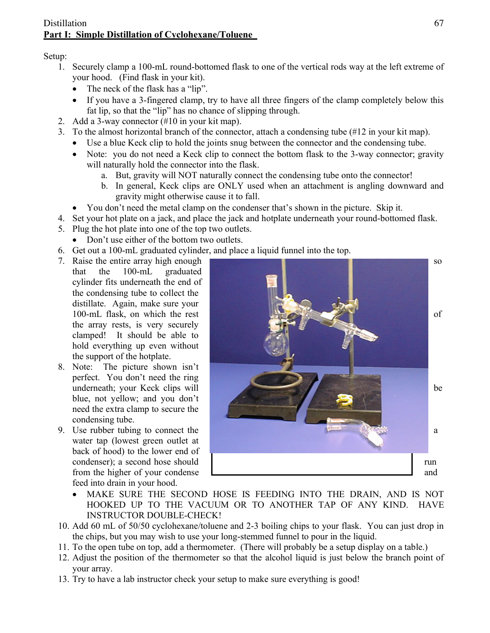## Distillation 67 **Part I: Simple Distillation of Cyclohexane/Toluene**

Setup:

- 1. Securely clamp a 100-mL round-bottomed flask to one of the vertical rods way at the left extreme of your hood. (Find flask in your kit).
	- The neck of the flask has a "lip".
	- If you have a 3-fingered clamp, try to have all three fingers of the clamp completely below this fat lip, so that the "lip" has no chance of slipping through.
- 2. Add a 3-way connector (#10 in your kit map).
- 3. To the almost horizontal branch of the connector, attach a condensing tube (#12 in your kit map).
	- Use a blue Keck clip to hold the joints snug between the connector and the condensing tube.
	- Note: you do not need a Keck clip to connect the bottom flask to the 3-way connector; gravity will naturally hold the connector into the flask.
		- a. But, gravity will NOT naturally connect the condensing tube onto the connector!
		- b. In general, Keck clips are ONLY used when an attachment is angling downward and gravity might otherwise cause it to fall.
	- You don't need the metal clamp on the condenser that's shown in the picture. Skip it.
- 4. Set your hot plate on a jack, and place the jack and hotplate underneath your round-bottomed flask.
- 5. Plug the hot plate into one of the top two outlets.
	- Don't use either of the bottom two outlets.
- 6. Get out a 100-mL graduated cylinder, and place a liquid funnel into the top.
- that the 100-mL graduated cylinder fits underneath the end of the condensing tube to collect the distillate. Again, make sure your the array rests, is very securely clamped! It should be able to hold everything up even without the support of the hotplate.
- 8. Note: The picture shown isn't perfect. You don't need the ring blue, not yellow; and you don't need the extra clamp to secure the condensing tube.
- water tap (lowest green outlet at back of hood) to the lower end of feed into drain in your hood.



- MAKE SURE THE SECOND HOSE IS FEEDING INTO THE DRAIN, AND IS NOT HOOKED UP TO THE VACUUM OR TO ANOTHER TAP OF ANY KIND. HAVE INSTRUCTOR DOUBLE-CHECK!
- 10. Add 60 mL of 50/50 cyclohexane/toluene and 2-3 boiling chips to your flask. You can just drop in the chips, but you may wish to use your long-stemmed funnel to pour in the liquid.
- 11. To the open tube on top, add a thermometer. (There will probably be a setup display on a table.)
- 12. Adjust the position of the thermometer so that the alcohol liquid is just below the branch point of your array.
- 13. Try to have a lab instructor check your setup to make sure everything is good!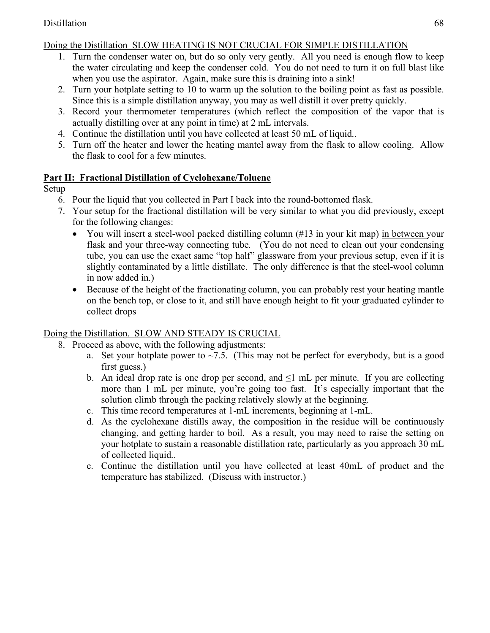## Doing the Distillation SLOW HEATING IS NOT CRUCIAL FOR SIMPLE DISTILLATION

- 1. Turn the condenser water on, but do so only very gently. All you need is enough flow to keep the water circulating and keep the condenser cold. You do not need to turn it on full blast like when you use the aspirator. Again, make sure this is draining into a sink!
- 2. Turn your hotplate setting to 10 to warm up the solution to the boiling point as fast as possible. Since this is a simple distillation anyway, you may as well distill it over pretty quickly.
- 3. Record your thermometer temperatures (which reflect the composition of the vapor that is actually distilling over at any point in time) at 2 mL intervals.
- 4. Continue the distillation until you have collected at least 50 mL of liquid..
- 5. Turn off the heater and lower the heating mantel away from the flask to allow cooling. Allow the flask to cool for a few minutes.

# **Part II: Fractional Distillation of Cyclohexane/Toluene**

# **Setup**

- 6. Pour the liquid that you collected in Part I back into the round-bottomed flask.
- 7. Your setup for the fractional distillation will be very similar to what you did previously, except for the following changes:
	- You will insert a steel-wool packed distilling column (#13 in your kit map) in between your flask and your three-way connecting tube. (You do not need to clean out your condensing tube, you can use the exact same "top half" glassware from your previous setup, even if it is slightly contaminated by a little distillate. The only difference is that the steel-wool column in now added in.)
	- Because of the height of the fractionating column, you can probably rest your heating mantle on the bench top, or close to it, and still have enough height to fit your graduated cylinder to collect drops

# Doing the Distillation. SLOW AND STEADY IS CRUCIAL

- 8. Proceed as above, with the following adjustments:
	- a. Set your hotplate power to  $\sim$  7.5. (This may not be perfect for everybody, but is a good first guess.)
	- b. An ideal drop rate is one drop per second, and  $\leq 1$  mL per minute. If you are collecting more than 1 mL per minute, you're going too fast. It's especially important that the solution climb through the packing relatively slowly at the beginning.
	- c. This time record temperatures at 1-mL increments, beginning at 1-mL.
	- d. As the cyclohexane distills away, the composition in the residue will be continuously changing, and getting harder to boil. As a result, you may need to raise the setting on your hotplate to sustain a reasonable distillation rate, particularly as you approach 30 mL of collected liquid..
	- e. Continue the distillation until you have collected at least 40mL of product and the temperature has stabilized. (Discuss with instructor.)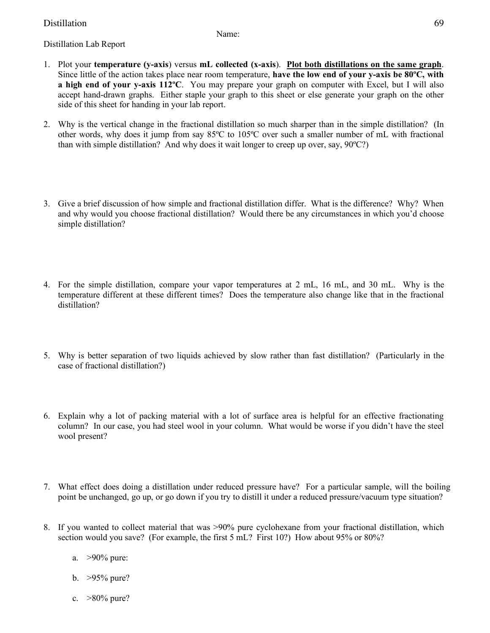## Distillation 69

Name:

- Distillation Lab Report
- 1. Plot your **temperature (y-axis**) versus **mL collected (x-axis**). **Plot both distillations on the same graph**. Since little of the action takes place near room temperature, **have the low end of your y-axis be 80ºC, with a high end of your y-axis 112ºC**. You may prepare your graph on computer with Excel, but I will also accept hand-drawn graphs. Either staple your graph to this sheet or else generate your graph on the other side of this sheet for handing in your lab report.
- 2. Why is the vertical change in the fractional distillation so much sharper than in the simple distillation? (In other words, why does it jump from say 85ºC to 105ºC over such a smaller number of mL with fractional than with simple distillation? And why does it wait longer to creep up over, say, 90ºC?)
- 3. Give a brief discussion of how simple and fractional distillation differ. What is the difference? Why? When and why would you choose fractional distillation? Would there be any circumstances in which you'd choose simple distillation?
- 4. For the simple distillation, compare your vapor temperatures at 2 mL, 16 mL, and 30 mL. Why is the temperature different at these different times? Does the temperature also change like that in the fractional distillation?
- 5. Why is better separation of two liquids achieved by slow rather than fast distillation? (Particularly in the case of fractional distillation?)
- 6. Explain why a lot of packing material with a lot of surface area is helpful for an effective fractionating column? In our case, you had steel wool in your column. What would be worse if you didn't have the steel wool present?
- 7. What effect does doing a distillation under reduced pressure have? For a particular sample, will the boiling point be unchanged, go up, or go down if you try to distill it under a reduced pressure/vacuum type situation?
- 8. If you wanted to collect material that was >90% pure cyclohexane from your fractional distillation, which section would you save? (For example, the first 5 mL? First 10?) How about 95% or 80%?
	- a. >90% pure:
	- b. >95% pure?
	- c. >80% pure?